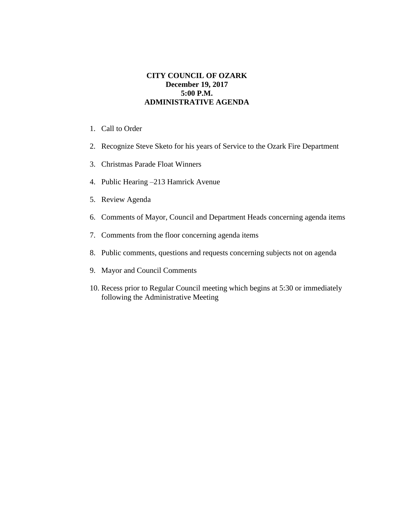## **CITY COUNCIL OF OZARK December 19, 2017 5:00 P.M. ADMINISTRATIVE AGENDA**

- 1. Call to Order
- 2. Recognize Steve Sketo for his years of Service to the Ozark Fire Department
- 3. Christmas Parade Float Winners
- 4. Public Hearing –213 Hamrick Avenue
- 5. Review Agenda
- 6. Comments of Mayor, Council and Department Heads concerning agenda items
- 7. Comments from the floor concerning agenda items
- 8. Public comments, questions and requests concerning subjects not on agenda
- 9. Mayor and Council Comments
- 10. Recess prior to Regular Council meeting which begins at 5:30 or immediately following the Administrative Meeting